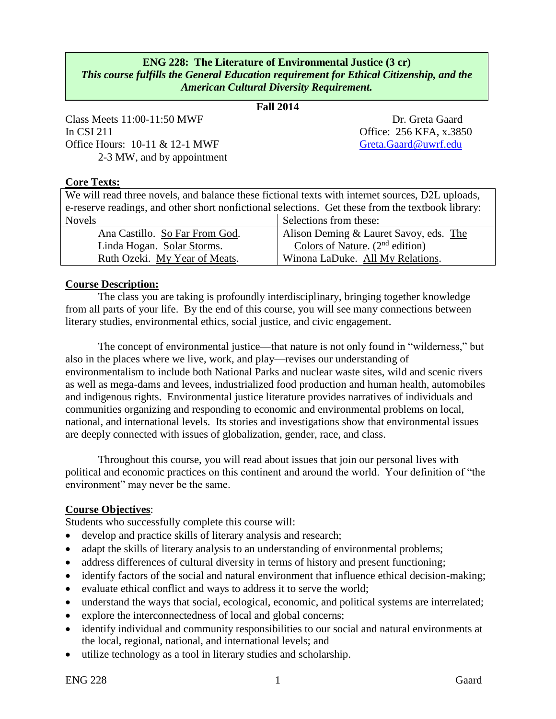# **ENG 228: The Literature of Environmental Justice (3 cr)** *This course fulfills the General Education requirement for Ethical Citizenship, and the American Cultural Diversity Requirement.*

# **Fall 2014** *.*

Class Meets 11:00-11:50 MWF Dr. Greta Gaard In CSI 211 Office: 256 KFA, x.3850 Office Hours: 10-11 & 12-1 MWF [Greta.Gaard@uwrf.edu](mailto:Greta.Gaard@uwrf.edu) 2-3 MW, and by appointment

#### **Core Texts:**

| We will read three novels, and balance these fictional texts with internet sources, D2L uploads,  |                                        |  |  |
|---------------------------------------------------------------------------------------------------|----------------------------------------|--|--|
| e-reserve readings, and other short nonfictional selections. Get these from the textbook library: |                                        |  |  |
| Selections from these:<br><b>Novels</b>                                                           |                                        |  |  |
| Ana Castillo. So Far From God.                                                                    | Alison Deming & Lauret Savoy, eds. The |  |  |
| Linda Hogan. Solar Storms.                                                                        | Colors of Nature. $(2nd$ edition)      |  |  |
| Ruth Ozeki. My Year of Meats.<br>Winona LaDuke. All My Relations.                                 |                                        |  |  |

#### **Course Description:**

The class you are taking is profoundly interdisciplinary, bringing together knowledge from all parts of your life. By the end of this course, you will see many connections between literary studies, environmental ethics, social justice, and civic engagement.

The concept of environmental justice—that nature is not only found in "wilderness," but also in the places where we live, work, and play—revises our understanding of environmentalism to include both National Parks and nuclear waste sites, wild and scenic rivers as well as mega-dams and levees, industrialized food production and human health, automobiles and indigenous rights. Environmental justice literature provides narratives of individuals and communities organizing and responding to economic and environmental problems on local, national, and international levels. Its stories and investigations show that environmental issues are deeply connected with issues of globalization, gender, race, and class.

Throughout this course, you will read about issues that join our personal lives with political and economic practices on this continent and around the world. Your definition of "the environment" may never be the same.

#### **Course Objectives**:

Students who successfully complete this course will:

- develop and practice skills of literary analysis and research;
- adapt the skills of literary analysis to an understanding of environmental problems;
- address differences of cultural diversity in terms of history and present functioning;
- identify factors of the social and natural environment that influence ethical decision-making;
- evaluate ethical conflict and ways to address it to serve the world;
- understand the ways that social, ecological, economic, and political systems are interrelated;
- explore the interconnectedness of local and global concerns;
- identify individual and community responsibilities to our social and natural environments at the local, regional, national, and international levels; and
- utilize technology as a tool in literary studies and scholarship.

ENG 228 Caard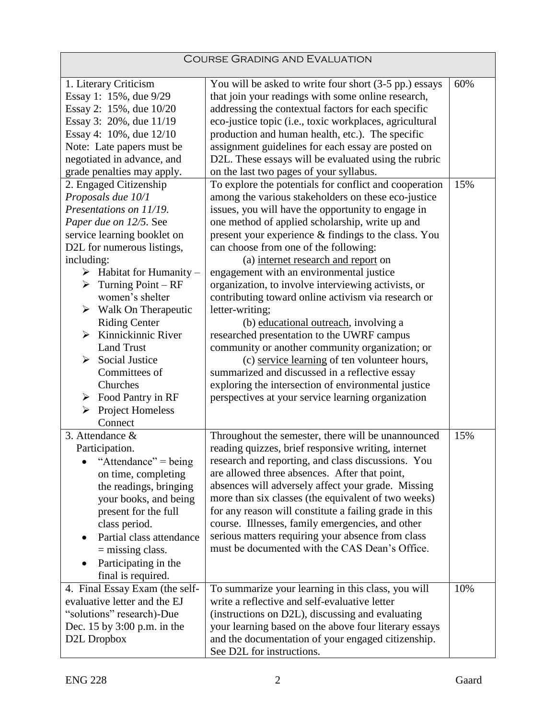| <b>COURSE GRADING AND EVALUATION</b>        |                                                         |     |  |  |
|---------------------------------------------|---------------------------------------------------------|-----|--|--|
| 1. Literary Criticism                       | You will be asked to write four short (3-5 pp.) essays  | 60% |  |  |
| Essay 1: 15%, due 9/29                      | that join your readings with some online research,      |     |  |  |
| Essay 2: 15%, due 10/20                     | addressing the contextual factors for each specific     |     |  |  |
| Essay 3: 20%, due 11/19                     | eco-justice topic (i.e., toxic workplaces, agricultural |     |  |  |
| Essay 4: 10%, due 12/10                     | production and human health, etc.). The specific        |     |  |  |
| Note: Late papers must be                   | assignment guidelines for each essay are posted on      |     |  |  |
| negotiated in advance, and                  | D2L. These essays will be evaluated using the rubric    |     |  |  |
| grade penalties may apply.                  | on the last two pages of your syllabus.                 |     |  |  |
| 2. Engaged Citizenship                      | To explore the potentials for conflict and cooperation  | 15% |  |  |
| Proposals due 10/1                          | among the various stakeholders on these eco-justice     |     |  |  |
| Presentations on 11/19.                     | issues, you will have the opportunity to engage in      |     |  |  |
| Paper due on 12/5. See                      | one method of applied scholarship, write up and         |     |  |  |
| service learning booklet on                 | present your experience & findings to the class. You    |     |  |  |
| D2L for numerous listings,                  | can choose from one of the following:                   |     |  |  |
| including:                                  | (a) internet research and report on                     |     |  |  |
| $\triangleright$ Habitat for Humanity –     | engagement with an environmental justice                |     |  |  |
| Turning $Point - RF$<br>➤                   | organization, to involve interviewing activists, or     |     |  |  |
| women's shelter                             | contributing toward online activism via research or     |     |  |  |
| $\triangleright$ Walk On Therapeutic        | letter-writing;                                         |     |  |  |
| <b>Riding Center</b>                        | (b) educational outreach, involving a                   |     |  |  |
| Kinnickinnic River<br>$\blacktriangleright$ | researched presentation to the UWRF campus              |     |  |  |
| <b>Land Trust</b>                           | community or another community organization; or         |     |  |  |
| <b>Social Justice</b><br>➤                  | (c) service learning of ten volunteer hours,            |     |  |  |
| Committees of                               | summarized and discussed in a reflective essay          |     |  |  |
| Churches                                    | exploring the intersection of environmental justice     |     |  |  |
| $\triangleright$ Food Pantry in RF          | perspectives at your service learning organization      |     |  |  |
| > Project Homeless                          |                                                         |     |  |  |
| Connect                                     |                                                         |     |  |  |
| 3. Attendance &                             | Throughout the semester, there will be unannounced      | 15% |  |  |
| Participation.                              | reading quizzes, brief responsive writing, internet     |     |  |  |
| "Attendance" = being                        | research and reporting, and class discussions. You      |     |  |  |
| on time, completing                         | are allowed three absences. After that point,           |     |  |  |
| the readings, bringing                      | absences will adversely affect your grade. Missing      |     |  |  |
| your books, and being                       | more than six classes (the equivalent of two weeks)     |     |  |  |
| present for the full                        | for any reason will constitute a failing grade in this  |     |  |  |
| class period.                               | course. Illnesses, family emergencies, and other        |     |  |  |
| Partial class attendance                    | serious matters requiring your absence from class       |     |  |  |
| $=$ missing class.                          | must be documented with the CAS Dean's Office.          |     |  |  |
| Participating in the                        |                                                         |     |  |  |
| final is required.                          |                                                         |     |  |  |
| 4. Final Essay Exam (the self-              | To summarize your learning in this class, you will      | 10% |  |  |
| evaluative letter and the EJ                | write a reflective and self-evaluative letter           |     |  |  |
| "solutions" research)-Due                   | (instructions on D2L), discussing and evaluating        |     |  |  |
| Dec. 15 by 3:00 p.m. in the                 | your learning based on the above four literary essays   |     |  |  |
| D2L Dropbox                                 | and the documentation of your engaged citizenship.      |     |  |  |
|                                             | See D2L for instructions.                               |     |  |  |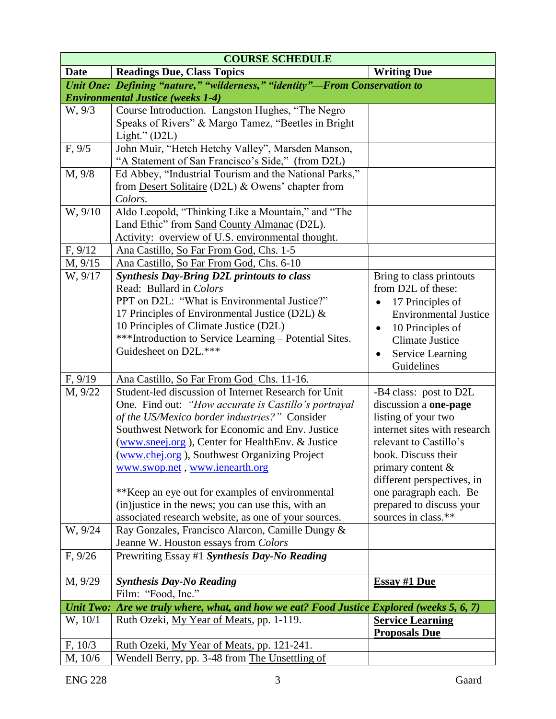| <b>COURSE SCHEDULE</b>                                                     |                                                                                           |                               |  |  |  |  |
|----------------------------------------------------------------------------|-------------------------------------------------------------------------------------------|-------------------------------|--|--|--|--|
| <b>Date</b>                                                                | <b>Readings Due, Class Topics</b>                                                         | <b>Writing Due</b>            |  |  |  |  |
| Unit One: Defining "nature," "wilderness," "identity"-From Conservation to |                                                                                           |                               |  |  |  |  |
|                                                                            | <b>Environmental Justice (weeks 1-4)</b>                                                  |                               |  |  |  |  |
| W, 9/3                                                                     | Course Introduction. Langston Hughes, "The Negro                                          |                               |  |  |  |  |
|                                                                            | Speaks of Rivers" & Margo Tamez, "Beetles in Bright                                       |                               |  |  |  |  |
|                                                                            | Light." $(D2L)$                                                                           |                               |  |  |  |  |
| F, 9/5                                                                     | John Muir, "Hetch Hetchy Valley", Marsden Manson,                                         |                               |  |  |  |  |
|                                                                            | "A Statement of San Francisco's Side," (from D2L)                                         |                               |  |  |  |  |
| M, 9/8                                                                     | Ed Abbey, "Industrial Tourism and the National Parks,"                                    |                               |  |  |  |  |
|                                                                            | from Desert Solitaire (D2L) & Owens' chapter from                                         |                               |  |  |  |  |
|                                                                            | Colors.                                                                                   |                               |  |  |  |  |
| W, 9/10                                                                    | Aldo Leopold, "Thinking Like a Mountain," and "The                                        |                               |  |  |  |  |
|                                                                            | Land Ethic" from Sand County Almanac (D2L).                                               |                               |  |  |  |  |
|                                                                            | Activity: overview of U.S. environmental thought.                                         |                               |  |  |  |  |
| F, 9/12                                                                    | Ana Castillo, So Far From God, Chs. 1-5                                                   |                               |  |  |  |  |
| M, 9/15                                                                    | Ana Castillo, So Far From God, Chs. 6-10                                                  |                               |  |  |  |  |
| W, 9/17                                                                    | <b>Synthesis Day-Bring D2L printouts to class</b>                                         | Bring to class printouts      |  |  |  |  |
|                                                                            | Read: Bullard in Colors                                                                   | from D2L of these:            |  |  |  |  |
|                                                                            | PPT on D2L: "What is Environmental Justice?"                                              | 17 Principles of              |  |  |  |  |
|                                                                            | 17 Principles of Environmental Justice (D2L) $\&$                                         | <b>Environmental Justice</b>  |  |  |  |  |
|                                                                            | 10 Principles of Climate Justice (D2L)                                                    | 10 Principles of<br>$\bullet$ |  |  |  |  |
|                                                                            | <b>***Introduction to Service Learning - Potential Sites.</b>                             | <b>Climate Justice</b>        |  |  |  |  |
|                                                                            | Guidesheet on D2L.***                                                                     | <b>Service Learning</b><br>٠  |  |  |  |  |
|                                                                            |                                                                                           | Guidelines                    |  |  |  |  |
| F, 9/19                                                                    | Ana Castillo, So Far From God Chs. 11-16.                                                 |                               |  |  |  |  |
| M, 9/22                                                                    | Student-led discussion of Internet Research for Unit                                      | -B4 class: post to D2L        |  |  |  |  |
|                                                                            | One. Find out: "How accurate is Castillo's portrayal                                      | discussion a one-page         |  |  |  |  |
|                                                                            | of the US/Mexico border industries?" Consider                                             | listing of your two           |  |  |  |  |
|                                                                            | Southwest Network for Economic and Env. Justice                                           | internet sites with research  |  |  |  |  |
|                                                                            | (www.sneej.org), Center for HealthEnv. & Justice                                          | relevant to Castillo's        |  |  |  |  |
|                                                                            | (www.chej.org), Southwest Organizing Project                                              | book. Discuss their           |  |  |  |  |
|                                                                            | www.swop.net, www.ienearth.org                                                            | primary content $\&$          |  |  |  |  |
|                                                                            |                                                                                           | different perspectives, in    |  |  |  |  |
|                                                                            | **Keep an eye out for examples of environmental                                           | one paragraph each. Be        |  |  |  |  |
|                                                                            | (in) justice in the news; you can use this, with an                                       | prepared to discuss your      |  |  |  |  |
|                                                                            | associated research website, as one of your sources.                                      | sources in class.**           |  |  |  |  |
| W, 9/24                                                                    | Ray Gonzales, Francisco Alarcon, Camille Dungy &                                          |                               |  |  |  |  |
|                                                                            | Jeanne W. Houston essays from Colors                                                      |                               |  |  |  |  |
| F, 9/26                                                                    | Prewriting Essay #1 Synthesis Day-No Reading                                              |                               |  |  |  |  |
|                                                                            |                                                                                           |                               |  |  |  |  |
| M, 9/29                                                                    | <b>Synthesis Day-No Reading</b>                                                           | <b>Essay #1 Due</b>           |  |  |  |  |
|                                                                            | Film: "Food, Inc."                                                                        |                               |  |  |  |  |
|                                                                            | Unit Two: Are we truly where, what, and how we eat? Food Justice Explored (weeks 5, 6, 7) |                               |  |  |  |  |
| W, 10/1                                                                    | Ruth Ozeki, My Year of Meats, pp. 1-119.                                                  | <b>Service Learning</b>       |  |  |  |  |
|                                                                            |                                                                                           | <b>Proposals Due</b>          |  |  |  |  |
| F, 10/3                                                                    | Ruth Ozeki, My Year of Meats, pp. 121-241.                                                |                               |  |  |  |  |
| M, 10/6                                                                    | Wendell Berry, pp. 3-48 from The Unsettling of                                            |                               |  |  |  |  |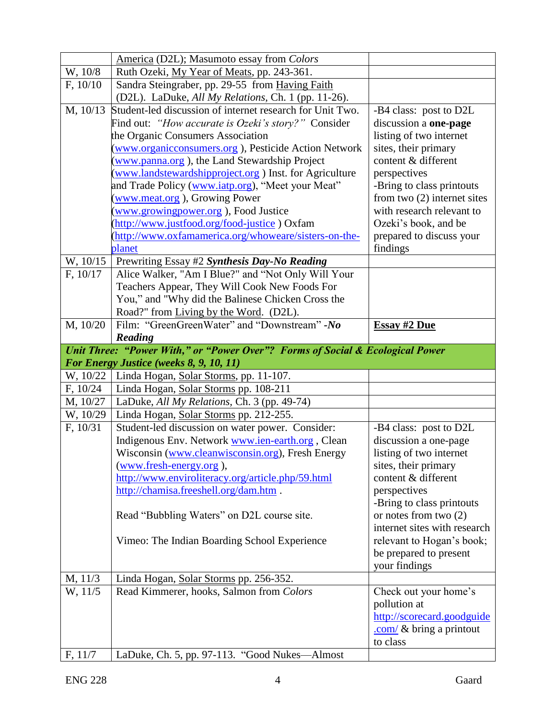|          | America (D2L); Masumoto essay from Colors                                     |                               |
|----------|-------------------------------------------------------------------------------|-------------------------------|
| W, 10/8  | Ruth Ozeki, My Year of Meats, pp. 243-361.                                    |                               |
| F, 10/10 | Sandra Steingraber, pp. 29-55 from Having Faith                               |                               |
|          | (D2L). LaDuke, All My Relations, Ch. 1 (pp. 11-26).                           |                               |
| M, 10/13 | Student-led discussion of internet research for Unit Two.                     | -B4 class: post to D2L        |
|          | Find out: "How accurate is Ozeki's story?" Consider                           | discussion a one-page         |
|          | the Organic Consumers Association                                             | listing of two internet       |
|          | (www.organicconsumers.org), Pesticide Action Network                          | sites, their primary          |
|          | (www.panna.org), the Land Stewardship Project                                 | content & different           |
|          | (www.landstewardshipproject.org) Inst. for Agriculture                        | perspectives                  |
|          | and Trade Policy (www.iatp.org), "Meet your Meat"                             | -Bring to class printouts     |
|          | (www.meat.org), Growing Power                                                 | from two $(2)$ internet sites |
|          | www.growingpower.org), Food Justice                                           | with research relevant to     |
|          | (http://www.justfood.org/food-justice) Oxfam                                  | Ozeki's book, and be          |
|          | (http://www.oxfamamerica.org/whoweare/sisters-on-the-                         | prepared to discuss your      |
|          | planet                                                                        | findings                      |
| W, 10/15 | Prewriting Essay #2 Synthesis Day-No Reading                                  |                               |
| F, 10/17 | Alice Walker, "Am I Blue?" and "Not Only Will Your                            |                               |
|          | Teachers Appear, They Will Cook New Foods For                                 |                               |
|          | You," and "Why did the Balinese Chicken Cross the                             |                               |
|          | Road?" from Living by the Word. (D2L).                                        |                               |
| M, 10/20 | Film: "GreenGreenWater" and "Downstream" -No                                  | <b>Essay #2 Due</b>           |
|          | Reading                                                                       |                               |
|          | Unit Three: "Power With," or "Power Over"? Forms of Social & Ecological Power |                               |
|          |                                                                               |                               |
|          | For Energy Justice (weeks 8, 9, 10, 11)                                       |                               |
| W, 10/22 | Linda Hogan, Solar Storms, pp. 11-107.                                        |                               |
| F, 10/24 | Linda Hogan, Solar Storms pp. 108-211                                         |                               |
| M, 10/27 | LaDuke, All My Relations, Ch. 3 (pp. 49-74)                                   |                               |
| W, 10/29 | Linda Hogan, Solar Storms pp. 212-255.                                        |                               |
| F, 10/31 | Student-led discussion on water power. Consider:                              | -B4 class: post to D2L        |
|          | Indigenous Env. Network www.ien-earth.org, Clean                              | discussion a one-page         |
|          | Wisconsin (www.cleanwisconsin.org), Fresh Energy                              | listing of two internet       |
|          | (www.fresh-energy.org),                                                       | sites, their primary          |
|          | http://www.enviroliteracy.org/article.php/59.html                             | content & different           |
|          | http://chamisa.freeshell.org/dam.htm .                                        | perspectives                  |
|          |                                                                               | -Bring to class printouts     |
|          | Read "Bubbling Waters" on D2L course site.                                    | or notes from two $(2)$       |
|          |                                                                               | internet sites with research  |
|          | Vimeo: The Indian Boarding School Experience                                  | relevant to Hogan's book;     |
|          |                                                                               | be prepared to present        |
|          |                                                                               | your findings                 |
| M, 11/3  | Linda Hogan, Solar Storms pp. 256-352.                                        |                               |
| W, 11/5  | Read Kimmerer, hooks, Salmon from Colors                                      | Check out your home's         |
|          |                                                                               | pollution at                  |
|          |                                                                               | http://scorecard.goodguide    |
|          |                                                                               | .com/ $\&$ bring a printout   |
| F, 11/7  | LaDuke, Ch. 5, pp. 97-113. "Good Nukes-Almost                                 | to class                      |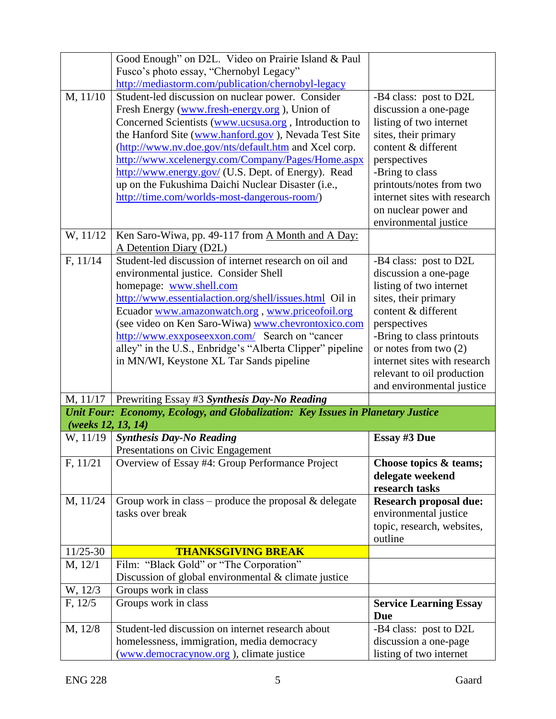|                        | Good Enough" on D2L. Video on Prairie Island & Paul                                                      |                                                         |
|------------------------|----------------------------------------------------------------------------------------------------------|---------------------------------------------------------|
|                        | Fusco's photo essay, "Chernobyl Legacy"                                                                  |                                                         |
|                        | http://mediastorm.com/publication/chernobyl-legacy                                                       |                                                         |
| $\overline{M}$ , 11/10 | Student-led discussion on nuclear power. Consider                                                        | -B4 class: post to D2L                                  |
|                        | Fresh Energy (www.fresh-energy.org), Union of                                                            | discussion a one-page                                   |
|                        | Concerned Scientists (www.ucsusa.org, Introduction to                                                    | listing of two internet                                 |
|                        | the Hanford Site (www.hanford.gov), Nevada Test Site                                                     | sites, their primary                                    |
|                        | (http://www.nv.doe.gov/nts/default.htm and Xcel corp.                                                    | content & different                                     |
|                        | http://www.xcelenergy.com/Company/Pages/Home.aspx<br>http://www.energy.gov/ (U.S. Dept. of Energy). Read | perspectives<br>-Bring to class                         |
|                        | up on the Fukushima Daichi Nuclear Disaster (i.e.,                                                       | printouts/notes from two                                |
|                        | http://time.com/worlds-most-dangerous-room/)                                                             | internet sites with research                            |
|                        |                                                                                                          | on nuclear power and                                    |
|                        |                                                                                                          | environmental justice                                   |
| W, 11/12               | Ken Saro-Wiwa, pp. 49-117 from A Month and A Day:                                                        |                                                         |
|                        | A Detention Diary (D2L)                                                                                  |                                                         |
| F, 11/14               | Student-led discussion of internet research on oil and                                                   | -B4 class: post to D2L                                  |
|                        | environmental justice. Consider Shell                                                                    | discussion a one-page                                   |
|                        | homepage: www.shell.com                                                                                  | listing of two internet                                 |
|                        | http://www.essentialaction.org/shell/issues.html Oil in                                                  | sites, their primary                                    |
|                        | Ecuador www.amazonwatch.org, www.priceofoil.org                                                          | content & different                                     |
|                        | (see video on Ken Saro-Wiwa) www.chevrontoxico.com                                                       | perspectives                                            |
|                        | http://www.exxposeexxon.com/ Search on "cancer                                                           | -Bring to class printouts                               |
|                        | alley" in the U.S., Enbridge's "Alberta Clipper" pipeline<br>in MN/WI, Keystone XL Tar Sands pipeline    | or notes from two $(2)$<br>internet sites with research |
|                        |                                                                                                          |                                                         |
|                        |                                                                                                          |                                                         |
|                        |                                                                                                          | relevant to oil production                              |
|                        |                                                                                                          | and environmental justice                               |
| M, 11/17               | Prewriting Essay #3 Synthesis Day-No Reading                                                             |                                                         |
| (weeks 12, 13, 14)     | Unit Four: Economy, Ecology, and Globalization: Key Issues in Planetary Justice                          |                                                         |
| W, 11/19               | <b>Synthesis Day-No Reading</b>                                                                          | <b>Essay #3 Due</b>                                     |
|                        | Presentations on Civic Engagement                                                                        |                                                         |
| F, 11/21               | Overview of Essay #4: Group Performance Project                                                          | Choose topics & teams;                                  |
|                        |                                                                                                          | delegate weekend                                        |
|                        |                                                                                                          | research tasks                                          |
| M, 11/24               | Group work in class – produce the proposal $\&$ delegate                                                 | <b>Research proposal due:</b>                           |
|                        | tasks over break                                                                                         | environmental justice                                   |
|                        |                                                                                                          | topic, research, websites,<br>outline                   |
| 11/25-30               | <b>THANKSGIVING BREAK</b>                                                                                |                                                         |
| M, 12/1                | Film: "Black Gold" or "The Corporation"                                                                  |                                                         |
|                        | Discussion of global environmental & climate justice                                                     |                                                         |
| W, 12/3                | Groups work in class                                                                                     |                                                         |
| F, 12/5                | Groups work in class                                                                                     | <b>Service Learning Essay</b>                           |
|                        |                                                                                                          | <b>Due</b>                                              |
| M, 12/8                | Student-led discussion on internet research about                                                        | -B4 class: post to D2L                                  |
|                        | homelessness, immigration, media democracy<br>(www.democracynow.org), climate justice                    | discussion a one-page<br>listing of two internet        |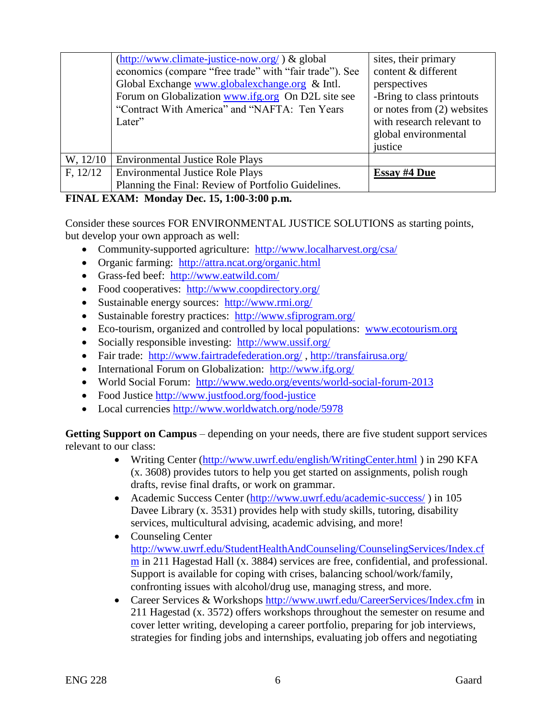|          | (http://www.climate-justice-now.org/) & global          | sites, their primary         |
|----------|---------------------------------------------------------|------------------------------|
|          | economics (compare "free trade" with "fair trade"). See | content & different          |
|          | Global Exchange www.globalexchange.org & Intl.          | perspectives                 |
|          | Forum on Globalization www.ifg.org On D2L site see      | -Bring to class printouts    |
|          | "Contract With America" and "NAFTA: Ten Years"          | or notes from $(2)$ websites |
|          | Later"                                                  | with research relevant to    |
|          |                                                         | global environmental         |
|          |                                                         | justice                      |
| W, 12/10 | <b>Environmental Justice Role Plays</b>                 |                              |
| F, 12/12 | <b>Environmental Justice Role Plays</b>                 | <b>Essay #4 Due</b>          |
|          | Planning the Final: Review of Portfolio Guidelines.     |                              |

# **FINAL EXAM: Monday Dec. 15, 1:00-3:00 p.m.**

Consider these sources FOR ENVIRONMENTAL JUSTICE SOLUTIONS as starting points, but develop your own approach as well:

- Community-supported agriculture: <http://www.localharvest.org/csa/>
- Organic farming: <http://attra.ncat.org/organic.html>
- Grass-fed beef: <http://www.eatwild.com/>
- Food cooperatives: <http://www.coopdirectory.org/>
- Sustainable energy sources: <http://www.rmi.org/>
- Sustainable forestry practices: <http://www.sfiprogram.org/>
- Eco-tourism, organized and controlled by local populations: [www.ecotourism.org](http://www.ecotourism.org/)
- Socially responsible investing: <http://www.ussif.org/>
- Fair trade: <http://www.fairtradefederation.org/>,<http://transfairusa.org/>
- International Forum on Globalization: <http://www.ifg.org/>
- World Social Forum: <http://www.wedo.org/events/world-social-forum-2013>
- Food Justice<http://www.justfood.org/food-justice>
- Local currencies<http://www.worldwatch.org/node/5978>

Getting Support on Campus – depending on your needs, there are five student support services relevant to our class:

- Writing Center [\(http://www.uwrf.edu/english/WritingCenter.html](http://www.uwrf.edu/english/WritingCenter.html) ) in 290 KFA (x. 3608) provides tutors to help you get started on assignments, polish rough drafts, revise final drafts, or work on grammar.
- Academic Success Center [\(http://www.uwrf.edu/academic-success/](http://www.uwrf.edu/academic-success/)) in 105 Davee Library (x. 3531) provides help with study skills, tutoring, disability services, multicultural advising, academic advising, and more!
- Counseling Center [http://www.uwrf.edu/StudentHealthAndCounseling/CounselingServices/Index.cf](http://www.uwrf.edu/StudentHealthAndCounseling/CounselingServices/Index.cfm) [m](http://www.uwrf.edu/StudentHealthAndCounseling/CounselingServices/Index.cfm) in 211 Hagestad Hall (x. 3884) services are free, confidential, and professional. Support is available for coping with crises, balancing school/work/family, confronting issues with alcohol/drug use, managing stress, and more.
- Career Services & Workshops<http://www.uwrf.edu/CareerServices/Index.cfm> in 211 Hagestad (x. 3572) offers workshops throughout the semester on resume and cover letter writing, developing a career portfolio, preparing for job interviews, strategies for finding jobs and internships, evaluating job offers and negotiating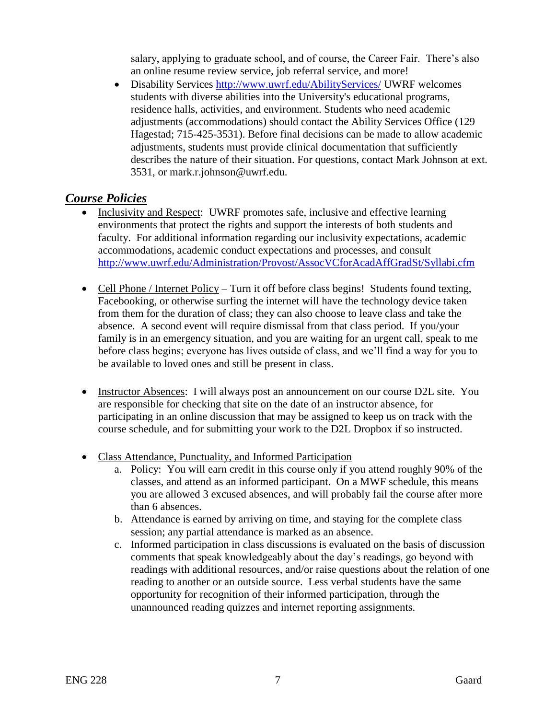salary, applying to graduate school, and of course, the Career Fair. There's also an online resume review service, job referral service, and more!

 Disability Services<http://www.uwrf.edu/AbilityServices/> UWRF welcomes students with diverse abilities into the University's educational programs, residence halls, activities, and environment. Students who need academic adjustments (accommodations) should contact the Ability Services Office (129 Hagestad; 715-425-3531). Before final decisions can be made to allow academic adjustments, students must provide clinical documentation that sufficiently describes the nature of their situation. For questions, contact Mark Johnson at ext. 3531, or mark.r.johnson@uwrf.edu.

# *Course Policies*

- Inclusivity and Respect: UWRF promotes safe, inclusive and effective learning environments that protect the rights and support the interests of both students and faculty. For additional information regarding our inclusivity expectations, academic accommodations, academic conduct expectations and processes, and consult <http://www.uwrf.edu/Administration/Provost/AssocVCforAcadAffGradSt/Syllabi.cfm>
- Cell Phone / Internet Policy Turn it off before class begins! Students found texting, Facebooking, or otherwise surfing the internet will have the technology device taken from them for the duration of class; they can also choose to leave class and take the absence. A second event will require dismissal from that class period. If you/your family is in an emergency situation, and you are waiting for an urgent call, speak to me before class begins; everyone has lives outside of class, and we'll find a way for you to be available to loved ones and still be present in class.
- Instructor Absences: I will always post an announcement on our course D2L site. You are responsible for checking that site on the date of an instructor absence, for participating in an online discussion that may be assigned to keep us on track with the course schedule, and for submitting your work to the D2L Dropbox if so instructed.
- Class Attendance, Punctuality, and Informed Participation
	- a. Policy: You will earn credit in this course only if you attend roughly 90% of the classes, and attend as an informed participant. On a MWF schedule, this means you are allowed 3 excused absences, and will probably fail the course after more than 6 absences.
	- b. Attendance is earned by arriving on time, and staying for the complete class session; any partial attendance is marked as an absence.
	- c. Informed participation in class discussions is evaluated on the basis of discussion comments that speak knowledgeably about the day's readings, go beyond with readings with additional resources, and/or raise questions about the relation of one reading to another or an outside source. Less verbal students have the same opportunity for recognition of their informed participation, through the unannounced reading quizzes and internet reporting assignments.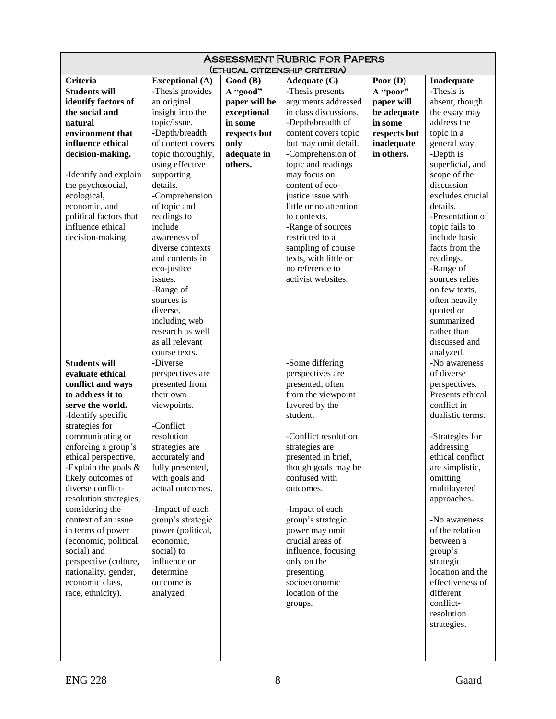| <b>ASSESSMENT RUBRIC FOR PAPERS</b><br>(ETHICAL CITIZENSHIP CRITERIA) |                                   |               |                                         |              |                              |
|-----------------------------------------------------------------------|-----------------------------------|---------------|-----------------------------------------|--------------|------------------------------|
| Criteria                                                              | <b>Exceptional</b> (A)            | Good (B)      | Adequate $(C)$                          | Poor (D)     | Inadequate                   |
| <b>Students will</b>                                                  | -Thesis provides                  | A "good"      | -Thesis presents                        | A "poor"     | -Thesis is                   |
| identify factors of                                                   | an original                       | paper will be | arguments addressed                     | paper will   | absent, though               |
| the social and                                                        | insight into the                  | exceptional   | in class discussions.                   | be adequate  | the essay may                |
| natural                                                               | topic/issue.                      | in some       | -Depth/breadth of                       | in some      | address the                  |
| environment that                                                      | -Depth/breadth                    | respects but  | content covers topic                    | respects but | topic in a                   |
| influence ethical                                                     | of content covers                 | only          | but may omit detail.                    | inadequate   | general way.                 |
| decision-making.                                                      | topic thoroughly,                 | adequate in   | -Comprehension of                       | in others.   | -Depth is                    |
|                                                                       | using effective                   | others.       | topic and readings                      |              | superficial, and             |
| -Identify and explain                                                 | supporting                        |               | may focus on                            |              | scope of the                 |
| the psychosocial,                                                     | details.                          |               | content of eco-                         |              | discussion                   |
| ecological,                                                           | -Comprehension                    |               | justice issue with                      |              | excludes crucial             |
| economic, and                                                         | of topic and                      |               | little or no attention                  |              | details.                     |
| political factors that                                                | readings to                       |               | to contexts.                            |              | -Presentation of             |
| influence ethical                                                     | include                           |               | -Range of sources                       |              | topic fails to               |
| decision-making.                                                      | awareness of                      |               | restricted to a                         |              | include basic                |
|                                                                       | diverse contexts                  |               | sampling of course                      |              | facts from the               |
|                                                                       | and contents in                   |               | texts, with little or                   |              | readings.                    |
|                                                                       | eco-justice                       |               | no reference to                         |              | -Range of                    |
|                                                                       | issues.                           |               | activist websites.                      |              | sources relies               |
|                                                                       | -Range of                         |               |                                         |              | on few texts,                |
|                                                                       | sources is                        |               |                                         |              | often heavily                |
|                                                                       | diverse,                          |               |                                         |              | quoted or<br>summarized      |
|                                                                       | including web<br>research as well |               |                                         |              | rather than                  |
|                                                                       | as all relevant                   |               |                                         |              | discussed and                |
|                                                                       | course texts.                     |               |                                         |              | analyzed.                    |
| <b>Students will</b>                                                  | -Diverse                          |               | -Some differing                         |              | -No awareness                |
| evaluate ethical                                                      | perspectives are                  |               | perspectives are                        |              | of diverse                   |
| conflict and ways                                                     | presented from                    |               | presented, often                        |              | perspectives.                |
| to address it to                                                      | their own                         |               | from the viewpoint                      |              | Presents ethical             |
| serve the world.                                                      | viewpoints.                       |               | favored by the                          |              | conflict in                  |
| -Identify specific                                                    |                                   |               | student.                                |              | dualistic terms.             |
| strategies for                                                        | -Conflict                         |               |                                         |              |                              |
| communicating or                                                      | resolution                        |               | -Conflict resolution                    |              | -Strategies for              |
| enforcing a group's                                                   | strategies are                    |               | strategies are                          |              | addressing                   |
| ethical perspective.                                                  | accurately and                    |               | presented in brief,                     |              | ethical conflict             |
| -Explain the goals $\&$                                               | fully presented,                  |               | though goals may be                     |              | are simplistic,              |
| likely outcomes of                                                    | with goals and                    |               | confused with                           |              | omitting                     |
| diverse conflict-                                                     | actual outcomes.                  |               | outcomes.                               |              | multilayered                 |
| resolution strategies,                                                |                                   |               |                                         |              | approaches.                  |
| considering the                                                       | -Impact of each                   |               | -Impact of each                         |              |                              |
| context of an issue                                                   | group's strategic                 |               | group's strategic                       |              | -No awareness                |
| in terms of power                                                     | power (political,                 |               | power may omit                          |              | of the relation<br>between a |
| (economic, political,<br>social) and                                  | economic,<br>social) to           |               | crucial areas of<br>influence, focusing |              |                              |
| perspective (culture,                                                 | influence or                      |               | only on the                             |              | group's<br>strategic         |
| nationality, gender,                                                  | determine                         |               | presenting                              |              | location and the             |
| economic class,                                                       | outcome is                        |               | socioeconomic                           |              | effectiveness of             |
| race, ethnicity).                                                     | analyzed.                         |               | location of the                         |              | different                    |
|                                                                       |                                   |               | groups.                                 |              | conflict-                    |
|                                                                       |                                   |               |                                         |              | resolution                   |
|                                                                       |                                   |               |                                         |              | strategies.                  |
|                                                                       |                                   |               |                                         |              |                              |
|                                                                       |                                   |               |                                         |              |                              |
|                                                                       |                                   |               |                                         |              |                              |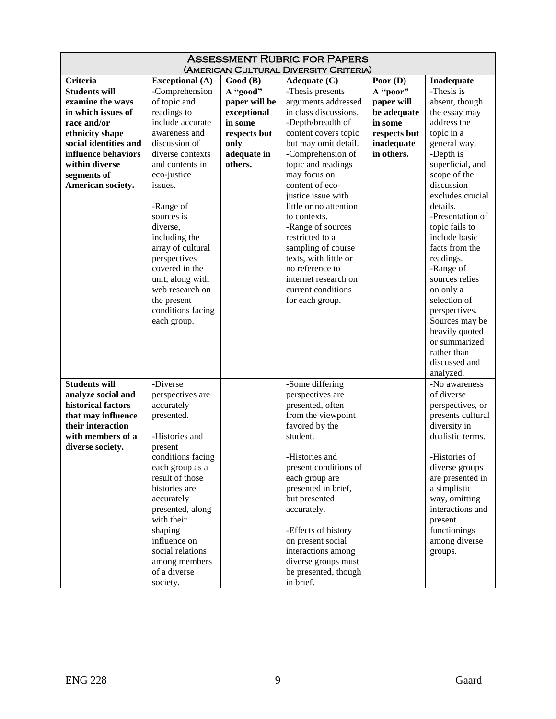| <b>ASSESSMENT RUBRIC FOR PAPERS</b><br>(AMERICAN CULTURAL DIVERSITY CRITERIA) |                                |                     |                                              |                          |                                  |
|-------------------------------------------------------------------------------|--------------------------------|---------------------|----------------------------------------------|--------------------------|----------------------------------|
| Criteria                                                                      | <b>Exceptional</b> (A)         | Good (B)            | Poor $(D)$<br>Adequate $(C)$<br>Inadequate   |                          |                                  |
| <b>Students will</b>                                                          | -Comprehension                 | A "good"            | -Thesis presents                             | A "poor"                 | -Thesis is                       |
| examine the ways                                                              | of topic and                   | paper will be       | arguments addressed                          | paper will               | absent, though                   |
| in which issues of                                                            | readings to                    | exceptional         | in class discussions.                        | be adequate              | the essay may                    |
| race and/or                                                                   | include accurate               | in some             | -Depth/breadth of                            | in some                  | address the                      |
|                                                                               | awareness and                  |                     |                                              |                          | topic in a                       |
| ethnicity shape<br>social identities and                                      | discussion of                  | respects but        | content covers topic<br>but may omit detail. | respects but             |                                  |
| influence behaviors                                                           | diverse contexts               | only<br>adequate in |                                              | inadequate<br>in others. | general way.<br>-Depth is        |
| within diverse                                                                |                                | others.             | -Comprehension of                            |                          |                                  |
|                                                                               | and contents in<br>eco-justice |                     | topic and readings<br>may focus on           |                          | superficial, and<br>scope of the |
| segments of<br>American society.                                              | issues.                        |                     | content of eco-                              |                          | discussion                       |
|                                                                               |                                |                     | justice issue with                           |                          | excludes crucial                 |
|                                                                               | -Range of                      |                     | little or no attention                       |                          | details.                         |
|                                                                               | sources is                     |                     | to contexts.                                 |                          | -Presentation of                 |
|                                                                               | diverse,                       |                     | -Range of sources                            |                          | topic fails to                   |
|                                                                               | including the                  |                     | restricted to a                              |                          | include basic                    |
|                                                                               | array of cultural              |                     | sampling of course                           |                          | facts from the                   |
|                                                                               | perspectives                   |                     | texts, with little or                        |                          | readings.                        |
|                                                                               | covered in the                 |                     | no reference to                              |                          | -Range of                        |
|                                                                               | unit, along with               |                     | internet research on                         |                          | sources relies                   |
|                                                                               | web research on                |                     | current conditions                           |                          | on only a                        |
|                                                                               | the present                    |                     | for each group.                              |                          | selection of                     |
|                                                                               | conditions facing              |                     |                                              |                          | perspectives.                    |
|                                                                               | each group.                    |                     |                                              |                          | Sources may be                   |
|                                                                               |                                |                     |                                              |                          | heavily quoted                   |
|                                                                               |                                |                     |                                              |                          | or summarized                    |
|                                                                               |                                |                     |                                              |                          | rather than                      |
|                                                                               |                                |                     |                                              |                          | discussed and                    |
|                                                                               |                                |                     |                                              |                          | analyzed.                        |
| <b>Students will</b>                                                          | -Diverse                       |                     | -Some differing                              |                          | -No awareness                    |
| analyze social and                                                            | perspectives are               |                     | perspectives are                             |                          | of diverse                       |
| historical factors                                                            | accurately                     |                     | presented, often                             |                          | perspectives, or                 |
| that may influence                                                            | presented.                     |                     | from the viewpoint                           |                          | presents cultural                |
| their interaction                                                             |                                |                     | favored by the                               |                          | diversity in                     |
| with members of a                                                             | -Histories and                 |                     | student.                                     |                          | dualistic terms.                 |
| diverse society.                                                              | present                        |                     |                                              |                          |                                  |
|                                                                               | conditions facing              |                     | -Histories and                               |                          | -Histories of                    |
|                                                                               | each group as a                |                     | present conditions of                        |                          | diverse groups                   |
|                                                                               | result of those                |                     | each group are                               |                          | are presented in                 |
|                                                                               | histories are                  |                     | presented in brief,                          |                          | a simplistic                     |
|                                                                               | accurately                     |                     | but presented                                |                          | way, omitting                    |
|                                                                               | presented, along               |                     | accurately.                                  |                          | interactions and                 |
|                                                                               | with their                     |                     |                                              |                          | present                          |
|                                                                               | shaping                        |                     | -Effects of history                          |                          | functionings                     |
|                                                                               | influence on                   |                     | on present social                            |                          | among diverse                    |
|                                                                               | social relations               |                     | interactions among                           |                          | groups.                          |
|                                                                               | among members                  |                     | diverse groups must                          |                          |                                  |
|                                                                               | of a diverse                   |                     | be presented, though                         |                          |                                  |
|                                                                               | society.                       |                     | in brief.                                    |                          |                                  |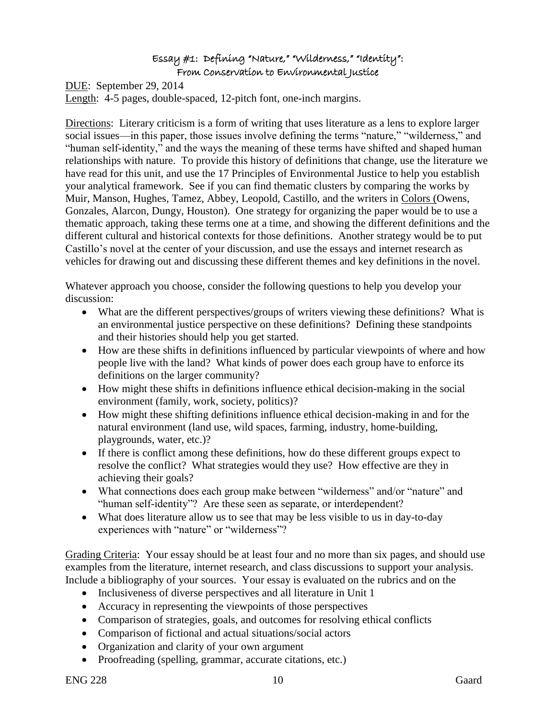#### Essay #1: Defining "Nature," "Wilderness," "Identity": From Conservation to Environmental Justice

DUE: September 29, 2014 Length: 4-5 pages, double-spaced, 12-pitch font, one-inch margins.

Directions: Literary criticism is a form of writing that uses literature as a lens to explore larger social issues—in this paper, those issues involve defining the terms "nature," "wilderness," and "human self-identity," and the ways the meaning of these terms have shifted and shaped human relationships with nature. To provide this history of definitions that change, use the literature we have read for this unit, and use the 17 Principles of Environmental Justice to help you establish your analytical framework. See if you can find thematic clusters by comparing the works by Muir, Manson, Hughes, Tamez, Abbey, Leopold, Castillo, and the writers in Colors (Owens, Gonzales, Alarcon, Dungy, Houston). One strategy for organizing the paper would be to use a thematic approach, taking these terms one at a time, and showing the different definitions and the different cultural and historical contexts for those definitions. Another strategy would be to put Castillo's novel at the center of your discussion, and use the essays and internet research as vehicles for drawing out and discussing these different themes and key definitions in the novel.

Whatever approach you choose, consider the following questions to help you develop your discussion:

- What are the different perspectives/groups of writers viewing these definitions? What is an environmental justice perspective on these definitions? Defining these standpoints and their histories should help you get started.
- How are these shifts in definitions influenced by particular viewpoints of where and how people live with the land? What kinds of power does each group have to enforce its definitions on the larger community?
- How might these shifts in definitions influence ethical decision-making in the social environment (family, work, society, politics)?
- How might these shifting definitions influence ethical decision-making in and for the natural environment (land use, wild spaces, farming, industry, home-building, playgrounds, water, etc.)?
- If there is conflict among these definitions, how do these different groups expect to resolve the conflict? What strategies would they use? How effective are they in achieving their goals?
- What connections does each group make between "wilderness" and/or "nature" and "human self-identity"? Are these seen as separate, or interdependent?
- What does literature allow us to see that may be less visible to us in day-to-day experiences with "nature" or "wilderness"?

Grading Criteria: Your essay should be at least four and no more than six pages, and should use examples from the literature, internet research, and class discussions to support your analysis. Include a bibliography of your sources. Your essay is evaluated on the rubrics and on the

- Inclusiveness of diverse perspectives and all literature in Unit 1
- Accuracy in representing the viewpoints of those perspectives
- Comparison of strategies, goals, and outcomes for resolving ethical conflicts
- Comparison of fictional and actual situations/social actors
- Organization and clarity of your own argument
- Proofreading (spelling, grammar, accurate citations, etc.)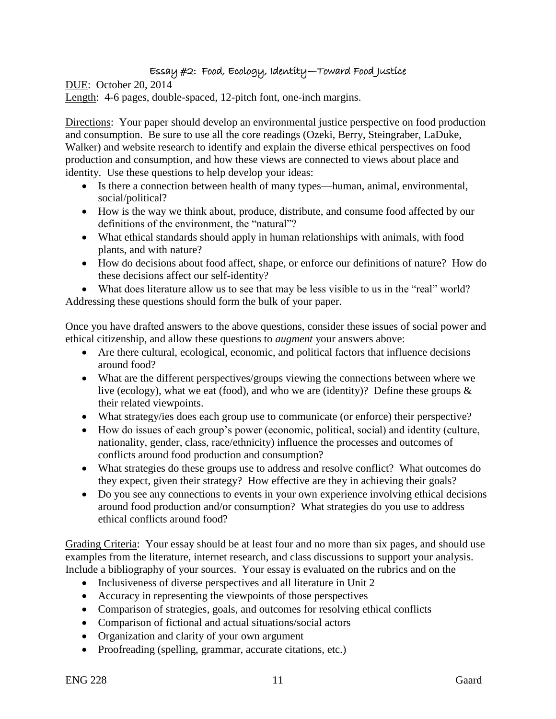# Essay #2: Food, Ecology, Identity—Toward Food Justice

DUE: October 20, 2014 Length: 4-6 pages, double-spaced, 12-pitch font, one-inch margins.

Directions: Your paper should develop an environmental justice perspective on food production and consumption. Be sure to use all the core readings (Ozeki, Berry, Steingraber, LaDuke, Walker) and website research to identify and explain the diverse ethical perspectives on food production and consumption, and how these views are connected to views about place and identity. Use these questions to help develop your ideas:

- Is there a connection between health of many types—human, animal, environmental, social/political?
- How is the way we think about, produce, distribute, and consume food affected by our definitions of the environment, the "natural"?
- What ethical standards should apply in human relationships with animals, with food plants, and with nature?
- How do decisions about food affect, shape, or enforce our definitions of nature? How do these decisions affect our self-identity?

 What does literature allow us to see that may be less visible to us in the "real" world? Addressing these questions should form the bulk of your paper.

Once you have drafted answers to the above questions, consider these issues of social power and ethical citizenship, and allow these questions to *augment* your answers above:

- Are there cultural, ecological, economic, and political factors that influence decisions around food?
- What are the different perspectives/groups viewing the connections between where we live (ecology), what we eat (food), and who we are (identity)? Define these groups  $\&$ their related viewpoints.
- What strategy/ies does each group use to communicate (or enforce) their perspective?
- How do issues of each group's power (economic, political, social) and identity (culture, nationality, gender, class, race/ethnicity) influence the processes and outcomes of conflicts around food production and consumption?
- What strategies do these groups use to address and resolve conflict? What outcomes do they expect, given their strategy? How effective are they in achieving their goals?
- Do you see any connections to events in your own experience involving ethical decisions around food production and/or consumption? What strategies do you use to address ethical conflicts around food?

Grading Criteria: Your essay should be at least four and no more than six pages, and should use examples from the literature, internet research, and class discussions to support your analysis. Include a bibliography of your sources. Your essay is evaluated on the rubrics and on the

- Inclusiveness of diverse perspectives and all literature in Unit 2
- Accuracy in representing the viewpoints of those perspectives
- Comparison of strategies, goals, and outcomes for resolving ethical conflicts
- Comparison of fictional and actual situations/social actors
- Organization and clarity of your own argument
- Proofreading (spelling, grammar, accurate citations, etc.)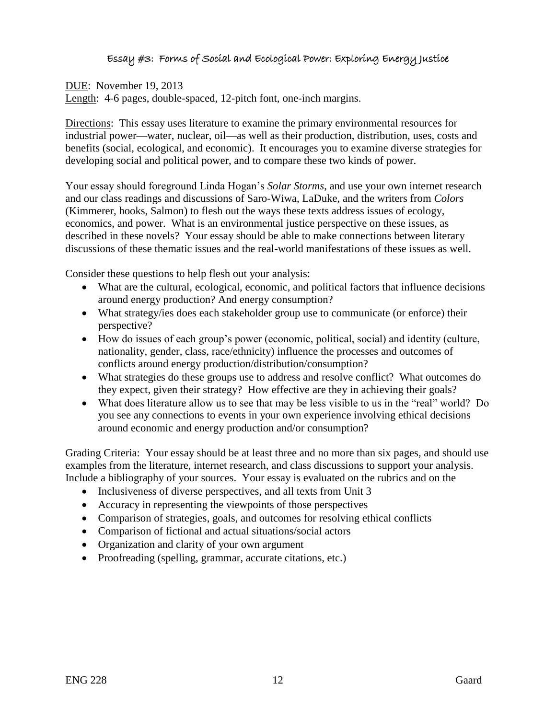# Essay #3: Forms of Social and Ecological Power: Exploring Energy Justice

# DUE: November 19, 2013

Length: 4-6 pages, double-spaced, 12-pitch font, one-inch margins.

Directions: This essay uses literature to examine the primary environmental resources for industrial power—water, nuclear, oil—as well as their production, distribution, uses, costs and benefits (social, ecological, and economic). It encourages you to examine diverse strategies for developing social and political power, and to compare these two kinds of power.

Your essay should foreground Linda Hogan's *Solar Storms*, and use your own internet research and our class readings and discussions of Saro-Wiwa, LaDuke, and the writers from *Colors* (Kimmerer, hooks, Salmon) to flesh out the ways these texts address issues of ecology, economics, and power. What is an environmental justice perspective on these issues, as described in these novels? Your essay should be able to make connections between literary discussions of these thematic issues and the real-world manifestations of these issues as well.

Consider these questions to help flesh out your analysis:

- What are the cultural, ecological, economic, and political factors that influence decisions around energy production? And energy consumption?
- What strategy/ies does each stakeholder group use to communicate (or enforce) their perspective?
- How do issues of each group's power (economic, political, social) and identity (culture, nationality, gender, class, race/ethnicity) influence the processes and outcomes of conflicts around energy production/distribution/consumption?
- What strategies do these groups use to address and resolve conflict? What outcomes do they expect, given their strategy? How effective are they in achieving their goals?
- What does literature allow us to see that may be less visible to us in the "real" world? Do you see any connections to events in your own experience involving ethical decisions around economic and energy production and/or consumption?

Grading Criteria: Your essay should be at least three and no more than six pages, and should use examples from the literature, internet research, and class discussions to support your analysis. Include a bibliography of your sources. Your essay is evaluated on the rubrics and on the

- Inclusiveness of diverse perspectives, and all texts from Unit 3
- Accuracy in representing the viewpoints of those perspectives
- Comparison of strategies, goals, and outcomes for resolving ethical conflicts
- Comparison of fictional and actual situations/social actors
- Organization and clarity of your own argument
- Proofreading (spelling, grammar, accurate citations, etc.)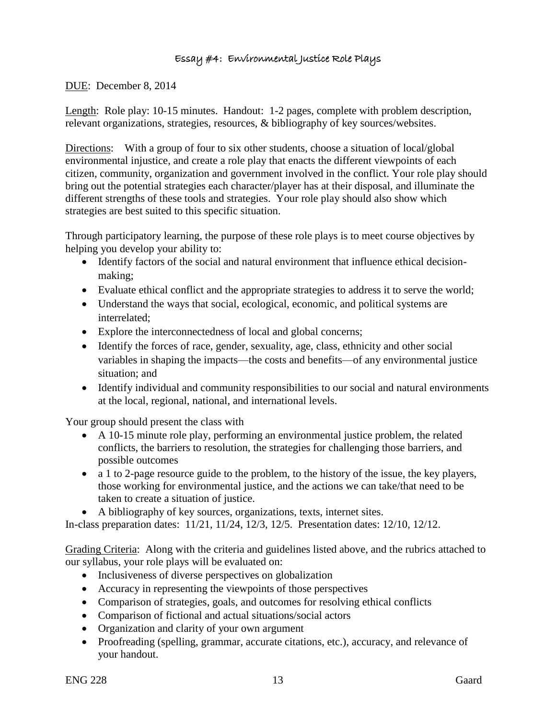# Essay #4: Environmental Justice Role Plays

## DUE: December 8, 2014

Length: Role play: 10-15 minutes. Handout: 1-2 pages, complete with problem description, relevant organizations, strategies, resources, & bibliography of key sources/websites.

Directions: With a group of four to six other students, choose a situation of local/global environmental injustice, and create a role play that enacts the different viewpoints of each citizen, community, organization and government involved in the conflict. Your role play should bring out the potential strategies each character/player has at their disposal, and illuminate the different strengths of these tools and strategies. Your role play should also show which strategies are best suited to this specific situation.

Through participatory learning, the purpose of these role plays is to meet course objectives by helping you develop your ability to:

- Identify factors of the social and natural environment that influence ethical decisionmaking;
- Evaluate ethical conflict and the appropriate strategies to address it to serve the world;
- Understand the ways that social, ecological, economic, and political systems are interrelated;
- Explore the interconnectedness of local and global concerns;
- Identify the forces of race, gender, sexuality, age, class, ethnicity and other social variables in shaping the impacts—the costs and benefits—of any environmental justice situation; and
- Identify individual and community responsibilities to our social and natural environments at the local, regional, national, and international levels.

Your group should present the class with

- A 10-15 minute role play, performing an environmental justice problem, the related conflicts, the barriers to resolution, the strategies for challenging those barriers, and possible outcomes
- a 1 to 2-page resource guide to the problem, to the history of the issue, the key players, those working for environmental justice, and the actions we can take/that need to be taken to create a situation of justice.
- A bibliography of key sources, organizations, texts, internet sites.

In-class preparation dates: 11/21, 11/24, 12/3, 12/5. Presentation dates: 12/10, 12/12.

Grading Criteria: Along with the criteria and guidelines listed above, and the rubrics attached to our syllabus, your role plays will be evaluated on:

- Inclusiveness of diverse perspectives on globalization
- Accuracy in representing the viewpoints of those perspectives
- Comparison of strategies, goals, and outcomes for resolving ethical conflicts
- Comparison of fictional and actual situations/social actors
- Organization and clarity of your own argument
- Proofreading (spelling, grammar, accurate citations, etc.), accuracy, and relevance of your handout.